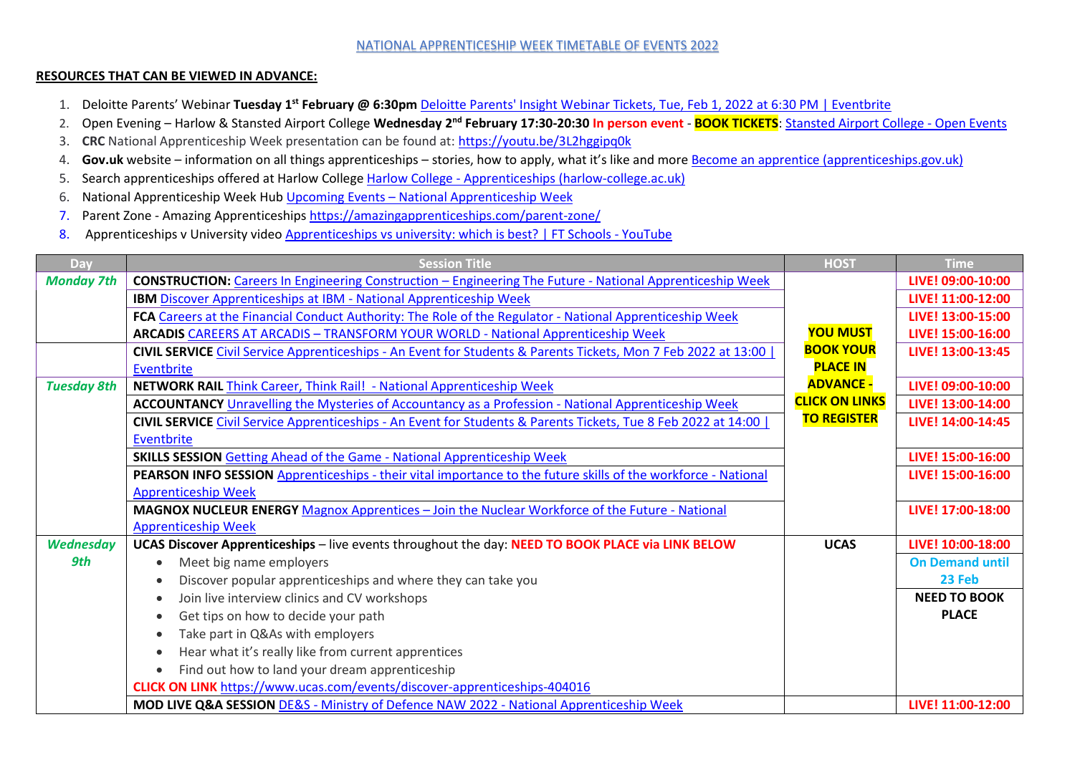## NATIONAL APPRENTICESHIP WEEK TIMETABLE OF EVENTS 2022

## **RESOURCES THAT CAN BE VIEWED IN ADVANCE:**

- 1. Deloitte Parents' Webinar **Tuesday 1st February @ 6:30pm** [Deloitte Parents' Insight Webinar Tickets, Tue, Feb 1, 2022 at 6:30 PM | Eventbrite](https://www.eventbrite.co.uk/e/deloitte-parents-insight-webinar-tickets-239150564777?aff=odeimcmailchimp&goal=0_075a5d0dae-4ed2c34b0f-212096624&mc_cid=4ed2c34b0f&mc_eid=2a4f9fd2bc)
- 2. Open Evening Harlow & Stansted Airport College **Wednesday 2nd February 17:30-20:30 In person event BOOK TICKETS**: [Stansted Airport College -](http://www.stanstedairportcollege.ac.uk/about/open-events) Open Events
- 3. **CRC** National Apprenticeship Week presentation can be found at[: https://youtu.be/3L2hggipq0k](https://youtu.be/3L2hggipq0k)
- 4. **Gov.uk** website information on all things apprenticeships stories, how to apply, what it's like and more [Become an apprentice \(apprenticeships.gov.uk\)](https://www.apprenticeships.gov.uk/apprentices)
- 5. Search apprenticeships offered at Harlow College Harlow College [Apprenticeships \(harlow-college.ac.uk\)](https://www.harlow-college.ac.uk/study-options/apprenticeships)
- 6. National Apprenticeship Week Hub Upcoming Events [National Apprenticeship Week](https://www.nationalapprenticeshipweek.co.uk/events/)
- 7. Parent Zone Amazing Apprenticeship[s https://amazingapprenticeships.com/parent-zone/](https://amazingapprenticeships.com/parent-zone/)
- 8. Apprenticeships v University video [Apprenticeships vs university: which is best? | FT Schools -](https://www.youtube.com/watch?v=tDnb9wWhPqE) YouTube

| Day                | <b>Session Title</b>                                                                                             | <b>HOST</b>           | <b>Time</b>            |
|--------------------|------------------------------------------------------------------------------------------------------------------|-----------------------|------------------------|
| <b>Monday 7th</b>  | <b>CONSTRUCTION:</b> Careers In Engineering Construction – Engineering The Future - National Apprenticeship Week |                       | LIVE! 09:00-10:00      |
|                    | <b>IBM Discover Apprenticeships at IBM - National Apprenticeship Week</b>                                        |                       | LIVE! 11:00-12:00      |
|                    | FCA Careers at the Financial Conduct Authority: The Role of the Regulator - National Apprenticeship Week         |                       | LIVE! 13:00-15:00      |
|                    | ARCADIS CAREERS AT ARCADIS - TRANSFORM YOUR WORLD - National Apprenticeship Week                                 | <b>YOU MUST</b>       | LIVE! 15:00-16:00      |
|                    | CIVIL SERVICE Civil Service Apprenticeships - An Event for Students & Parents Tickets, Mon 7 Feb 2022 at 13:00   | <b>BOOK YOUR</b>      | LIVE! 13:00-13:45      |
|                    | Eventbrite                                                                                                       | <b>PLACE IN</b>       |                        |
| <b>Tuesday 8th</b> | NETWORK RAIL Think Career, Think Rail! - National Apprenticeship Week                                            | <b>ADVANCE -</b>      | LIVE! 09:00-10:00      |
|                    | <b>ACCOUNTANCY</b> Unravelling the Mysteries of Accountancy as a Profession - National Apprenticeship Week       | <b>CLICK ON LINKS</b> | LIVE! 13:00-14:00      |
|                    | CIVIL SERVICE Civil Service Apprenticeships - An Event for Students & Parents Tickets, Tue 8 Feb 2022 at 14:00   | <b>TO REGISTER</b>    | LIVE! 14:00-14:45      |
|                    | Eventbrite                                                                                                       |                       |                        |
|                    | <b>SKILLS SESSION Getting Ahead of the Game - National Apprenticeship Week</b>                                   |                       | LIVE! 15:00-16:00      |
|                    | PEARSON INFO SESSION Apprenticeships - their vital importance to the future skills of the workforce - National   |                       | LIVE! 15:00-16:00      |
|                    | <b>Apprenticeship Week</b>                                                                                       |                       |                        |
|                    | MAGNOX NUCLEUR ENERGY Magnox Apprentices - Join the Nuclear Workforce of the Future - National                   |                       | LIVE! 17:00-18:00      |
|                    | <b>Apprenticeship Week</b>                                                                                       |                       |                        |
| <b>Wednesday</b>   | UCAS Discover Apprenticeships - live events throughout the day: NEED TO BOOK PLACE via LINK BELOW                | <b>UCAS</b>           | LIVE! 10:00-18:00      |
| 9th                | Meet big name employers                                                                                          |                       | <b>On Demand until</b> |
|                    | Discover popular apprenticeships and where they can take you<br>$\bullet$                                        |                       | 23 Feb                 |
|                    | Join live interview clinics and CV workshops<br>$\bullet$                                                        |                       | <b>NEED TO BOOK</b>    |
|                    | Get tips on how to decide your path<br>$\bullet$                                                                 |                       | <b>PLACE</b>           |
|                    | Take part in Q&As with employers<br>$\bullet$                                                                    |                       |                        |
|                    | Hear what it's really like from current apprentices<br>$\bullet$                                                 |                       |                        |
|                    | Find out how to land your dream apprenticeship                                                                   |                       |                        |
|                    | CLICK ON LINK https://www.ucas.com/events/discover-apprenticeships-404016                                        |                       |                        |
|                    | MOD LIVE Q&A SESSION DE&S - Ministry of Defence NAW 2022 - National Apprenticeship Week                          |                       | LIVE! 11:00-12:00      |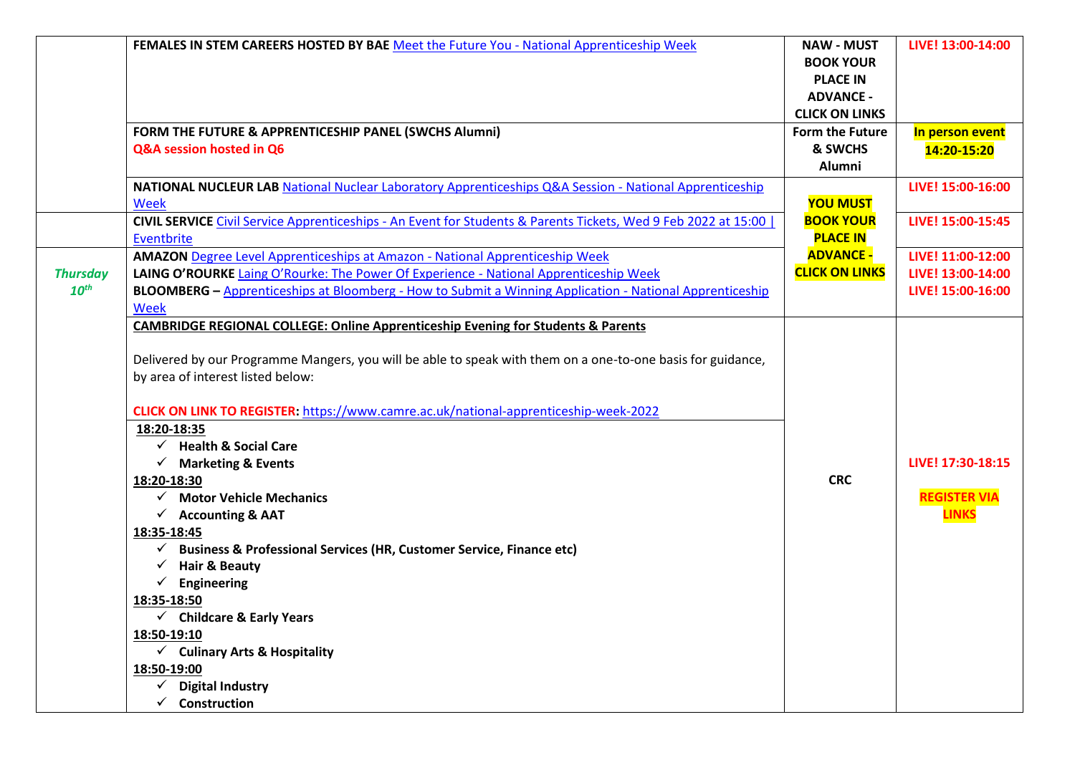|                                     | FEMALES IN STEM CAREERS HOSTED BY BAE Meet the Future You - National Apprenticeship Week                                                                                                                                                                                                                                                                                                                                                                                                                                                                                                                                                                                                                                                                                                                                                                            | <b>NAW - MUST</b><br><b>BOOK YOUR</b><br><b>PLACE IN</b><br><b>ADVANCE -</b><br><b>CLICK ON LINKS</b> | LIVE! 13:00-14:00                                           |
|-------------------------------------|---------------------------------------------------------------------------------------------------------------------------------------------------------------------------------------------------------------------------------------------------------------------------------------------------------------------------------------------------------------------------------------------------------------------------------------------------------------------------------------------------------------------------------------------------------------------------------------------------------------------------------------------------------------------------------------------------------------------------------------------------------------------------------------------------------------------------------------------------------------------|-------------------------------------------------------------------------------------------------------|-------------------------------------------------------------|
|                                     | FORM THE FUTURE & APPRENTICESHIP PANEL (SWCHS Alumni)<br>Q&A session hosted in Q6                                                                                                                                                                                                                                                                                                                                                                                                                                                                                                                                                                                                                                                                                                                                                                                   | Form the Future<br>& SWCHS<br>Alumni                                                                  | In person event<br>14:20-15:20                              |
|                                     | NATIONAL NUCLEUR LAB National Nuclear Laboratory Apprenticeships Q&A Session - National Apprenticeship<br><b>Week</b>                                                                                                                                                                                                                                                                                                                                                                                                                                                                                                                                                                                                                                                                                                                                               | <b>YOU MUST</b>                                                                                       | LIVE! 15:00-16:00                                           |
|                                     | CIVIL SERVICE Civil Service Apprenticeships - An Event for Students & Parents Tickets, Wed 9 Feb 2022 at 15:00<br>Eventbrite                                                                                                                                                                                                                                                                                                                                                                                                                                                                                                                                                                                                                                                                                                                                        | <b>BOOK YOUR</b><br><b>PLACE IN</b>                                                                   | LIVE! 15:00-15:45                                           |
| <b>Thursday</b><br>10 <sup>th</sup> | <b>AMAZON</b> Degree Level Apprenticeships at Amazon - National Apprenticeship Week<br>LAING O'ROURKE Laing O'Rourke: The Power Of Experience - National Apprenticeship Week<br>BLOOMBERG - Apprenticeships at Bloomberg - How to Submit a Winning Application - National Apprenticeship<br><b>Week</b>                                                                                                                                                                                                                                                                                                                                                                                                                                                                                                                                                             | <b>ADVANCE -</b><br><b>CLICK ON LINKS</b>                                                             | LIVE! 11:00-12:00<br>LIVE! 13:00-14:00<br>LIVE! 15:00-16:00 |
|                                     | <b>CAMBRIDGE REGIONAL COLLEGE: Online Apprenticeship Evening for Students &amp; Parents</b><br>Delivered by our Programme Mangers, you will be able to speak with them on a one-to-one basis for guidance,<br>by area of interest listed below:<br><b>CLICK ON LINK TO REGISTER:</b> https://www.camre.ac.uk/national-apprenticeship-week-2022<br>18:20-18:35<br>$\checkmark$ Health & Social Care<br>$\checkmark$<br><b>Marketing &amp; Events</b><br>18:20-18:30<br><b>Motor Vehicle Mechanics</b><br>$\checkmark$ Accounting & AAT<br>18:35-18:45<br><b>Business &amp; Professional Services (HR, Customer Service, Finance etc)</b><br><b>Hair &amp; Beauty</b><br>Engineering<br>18:35-18:50<br>$\checkmark$ Childcare & Early Years<br>18:50-19:10<br>$\checkmark$ Culinary Arts & Hospitality<br>18:50-19:00<br><b>Digital Industry</b><br>✓<br>Construction | <b>CRC</b>                                                                                            | LIVE! 17:30-18:15<br><b>REGISTER VIA</b><br><b>LINKS</b>    |